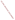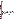|                                                                                       | UNITED STATES ENVIRONMENTAL PROTECTION AGENCY<br>Office of Research and Development<br><b>ET</b><br>Washington, D.C. 20460 |
|---------------------------------------------------------------------------------------|----------------------------------------------------------------------------------------------------------------------------|
| <b>ENVIRONMENTAL TECHNOLOGY VERIFICATION PROGRAM</b><br><b>VERIFICATION STATEMENT</b> |                                                                                                                            |
| <b>TECHNOLOGY TYPE:</b>                                                               | POLYCHLORINATED BIPHENYL (PCB) FIELD ANALYTICAL<br><b>TECHNIQUES</b>                                                       |
| <b>APPLICATION:</b>                                                                   | <b>MEASUREMENT OF PCBs IN SOILS AND SOLVENT EXTRACTS</b>                                                                   |
| <b>TECHNOLOGY NAME:</b>                                                               | <b>PCB IN SOIL TUBE ASSAY</b>                                                                                              |
| COMPANY:<br><b>ADDRESS:</b>                                                           | <b>ENVIROLOGIX INC.</b><br><b>55 INDUSTRIAL WAY</b><br>PORTLAND, ME 04103                                                  |
| PHONE:                                                                                | (207) 797-0300                                                                                                             |

The U.S. Environmental Protection Agency (EPA) has created a program to facilitate the deployment of innovative technologies through performance verification and information dissemination. The goal of the Environmental Technology Verification (ETV) Program is to further environmental protection by substantially accelerating the acceptance and use of improved and more cost-effective technologies. The ETV Program is intended to assist and inform those involved in the design, distribution, permitting, and purchase of environmental technologies. This document summarizes the results of a demonstration of EnviroLogix Inc. PCB in Soil Tube Assay.

## **PROGRAM OPERATION**

EPA, in partnership with recognized testing organizations, objectively and systematically evaluates the performance of innovative technologies. Together, with the full participation of the technology developer, they develop plans, conduct tests, collect and analyze data, and report findings. The evaluations are conducted according to a rigorous demonstration plan and established protocols for quality assurance. EPA's National Exposure Research Laboratory, which conducts demonstrations of field characterization and monitoring technologies, with the support of the U.S. Department of Energy's (DOE) Environmental Management (EM) program, selected Oak Ridge National Laboratory (ORNL) as the testing organization for the performance verification of polychlorinated biphenyls (PCBs) field analytical techniques.

## **DEMONSTRATION DESCRIPTION**

In July 1997, the performance of six PCB field analytical techniques was determined under field conditions. In September 1998, the performance of EnviroLogix Inc.'s PCB in Soil Tube Assay kit was evaluated similarly. Each technology was independently evaluated by comparing field analysis results with those obtained using approved reference methods. Performance evaluation (PE) samples were also used to assess independently the accuracy and comparability of each technology.

The demonstration was designed to detect and measure PCBs in soil and solvent extracts. For EnviroLogix, the demonstration was conducted at ORNL in Oak Ridge, Tennessee, from September 21 through 25, 1998. The study was conducted under two environmental conditions. The first site was outdoors, with naturally fluctuating temperatures and relative humidity conditions. The second site was inside a controlled environmental chamber, with generally cooler temperatures and lower relative humidities. Multiple soil types, collected from sites in Ohio, Kentucky, and Tennessee, were analyzed in this study. Solutions of PCBs were also analyzed to simulate extracted surface wipe samples. The results of the soil and extract analyses conducted under field conditions by the technology were compared with results from analyses of homogenous replicate samples conducted by conventional EPA SW-846 methodology in an approved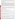reference laboratory. Details of the demonstration, including a data summary and discussion of results, may be found in the report entitled *Environmental Technology Verification Report: Immunoassay Kit, EnviroLogix Inc., PCB in Soil Tube Assay,* EPA/600/R-98/173.

# **TECHNOLOGY DESCRIPTION**

The EnviroLogix PCB in Soil Tube Assay applies the principles of enzyme linked immunosorbent assay (ELISA) to the determination of PCB. In such an assay, an enzyme has been chemically linked to a PCB molecule or PCB analog to create a labeled PCB reagent. The labeled PCB reagent (called a conjugate) is mixed with an extract of native sample containing the PCB contaminant. A portion of the mixture is applied to a surface (i.e., the inside of a test tube) to which an antibody specific for PCB has been affixed. The native PCB and PCB-enzyme conjugate compete for a limited number of antibody sites. After a period of time, the solution is washed away, and what remains is either PCB-antibody complexes or enzyme-PCB-antibody complexes attached to the test surface. The proportion of the two complexes on the test surface is determined by the amount of native PCB in the original sample. The enzyme present on the test surface is used to catalyze a color change reaction in a solution added to the test surface. Because the amount of enzyme present is inversely proportional to the concentration of native PCB contaminant, the amount of color development is inversely proportional to the concentration of PCB contaminant. The color development is quantified through the use of a hand-held photometer.

The EnviroLogix PCB in Soil Tube Assay is designed for semi-quantitative field screening for PCBs in soil. The kit is supplied with calibrators equivalent to 1 part per million (ppm) and 10 ppm PCB (Aroclor 1254) in soil. These calibrators are used to evaluate threshold levels of 1 and 10 ppm. A threshold level of 50 ppm can also be evaluated using the 10 ppm calibrator by preparing a 1:5 sample extract dilution into methanol. For the extract samples, the threshold levels are 0.4, 4, and 20 µg/mL.

# **VERIFICATION OF PERFORMANCE**

The following performance characteristics of the PCB in Soil Tube Assay were observed:

*Throughput:* Throughput was 8 samples/hour under outdoor conditions and 7 samples/hour under chamber conditions for one operator. This rate included sample preparation and analysis.

*Ease of Use:* One operator analyzed samples during the demonstration. Minimal training (4 h) is required to operate the kit, provided the user has a fundamental understanding of basic chemical and field analytical techniques.

*Completeness:* The PCB in Soil Tube Assay generated results for all 232 PCB samples for a completeness of 100%.

*False positive/negative results:* All of the blank samples (soils and extracts) were reported as the lowest reporting interval, which included zero; therefore, the percentage of false positive results was 0%. The kit reported no false negative results for extracts, and 4% (7 of 192 samples) for soils.

*Precision:* The overall precision—based on the percentage of combined sample sets where all four replicates were reported as the same interval—was 56% for the PE soils, 68% for the environmental soils, and 75% for the extracts.

*Accuracy:* Accuracy was assessed using PE soil and extract samples. Accuracy, defined as the percentage of the PCB in Soil Tube Assay results that agreed with the accepted concentration, was 78% for PE soils and 92% for extracts. In general, the fraction of samples that was biased high was comparable (10% for PE soils and 0% for extracts) to the fraction that was biased low (13% for PE soils and 8% for extracts).

*Comparability:* Comparability, like accuracy, was defined as the percentage of results that agreed with, was above (i.e., biased high), or was below (i.e., biased low) the reference laboratory result. The percentage of samples that agreed with the reference laboratory results was 82% for all soils (PE and environmental). The fraction of samples that was biased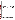high was again comparable (12%) to the fraction that was biased low (7%). Extract results could not be compared because no reference laboratory data was generated for these samples.

*Regulatory Decision-making:* One objective of this demonstration was to assess the technology's ability to perform at regulatory decision-making levels for PCBs, specifically 50 ppm for soils. For PE and environmental soil samples in the range of 40 to 60 ppm, 66% of the PCB in Soil Tube Assay results agreed with the reference laboratory, 32% were biased high, and 2% were biased low. The test kit results for this concentration range were different from what was observed for the entire data set in that the fraction of samples that were biased high was significantly higher (32% versus 12%).

*Data quality levels:* The performance of the test kit was characterized as unbiased, because most (78%) of the PCB in Soil Tube Assay results agreed with the certified PE values, but imprecise, because nearly half (44%) of the PE replicate results were not reported as the same interval. It should be noted that almost all of the imprecision occurred when the concentration of the sample was near one of the test kit's threshold values (i.e., 1, 10, or 50 ppm).

The results of the demonstration show that the PCB in Soil Tube Assay can provide useful, cost-effective data for environmental problem-solving and decision-making. Undoubtedly, it will be employed in a variety of applications, ranging from serving as a complement to data generated in a fixed analytical laboratory to generating data that will stand alone in the decision-making process. As with any technology selection, the user must determine if this technology is appropriate for the application and the project data quality objectives. For more information on this and other verified technologies, visit the ETV web site at *http://www.epa.gov/etv*.

Gary J. Foley, Ph.D. **Director** National Exposure Research Laboratory Office of Research and Development

**NOTICE**: EPA verifications are based on an evaluation of technology performance under specific, predetermined criteria and the appropriate quality assurance procedures. EPA makes no expressed or implied warranties as to the performance of the technology and does not certify that a technology will always, under circumstances other than those tested, operate at the levels verified. The end user is solely responsible for complying with any and all applicable Federal, State, and Local requirements.